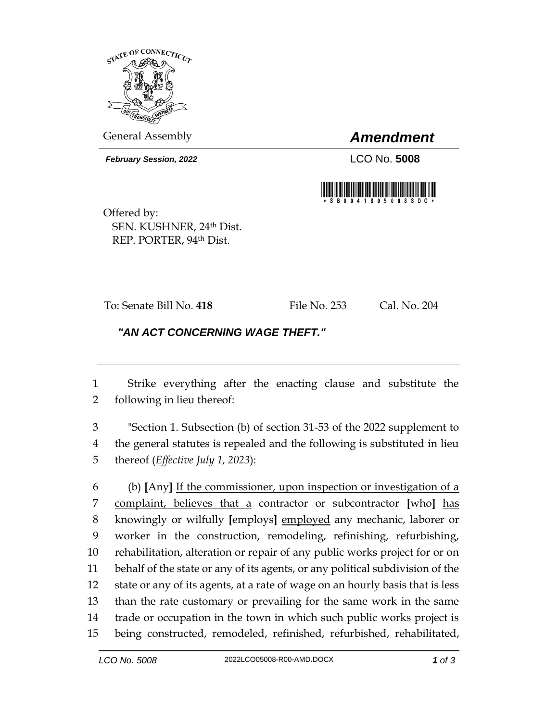

General Assembly *Amendment*

*February Session, 2022* LCO No. **5008**



Offered by: SEN. KUSHNER, 24th Dist. REP. PORTER, 94th Dist.

To: Senate Bill No. **418** File No. 253 Cal. No. 204

## *"AN ACT CONCERNING WAGE THEFT."*

 Strike everything after the enacting clause and substitute the following in lieu thereof:

 "Section 1. Subsection (b) of section 31-53 of the 2022 supplement to the general statutes is repealed and the following is substituted in lieu thereof (*Effective July 1, 2023*):

 (b) **[**Any**]** If the commissioner, upon inspection or investigation of a complaint, believes that a contractor or subcontractor **[**who**]** has knowingly or wilfully **[**employs**]** employed any mechanic, laborer or worker in the construction, remodeling, refinishing, refurbishing, rehabilitation, alteration or repair of any public works project for or on behalf of the state or any of its agents, or any political subdivision of the state or any of its agents, at a rate of wage on an hourly basis that is less than the rate customary or prevailing for the same work in the same trade or occupation in the town in which such public works project is being constructed, remodeled, refinished, refurbished, rehabilitated,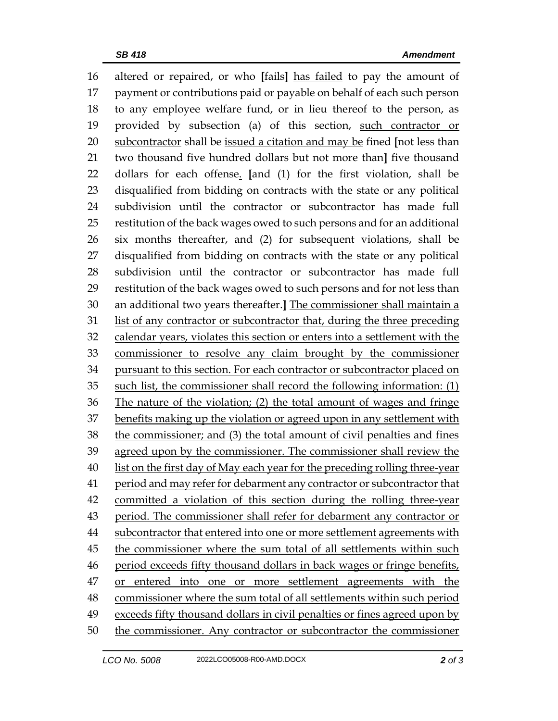altered or repaired, or who **[**fails**]** has failed to pay the amount of payment or contributions paid or payable on behalf of each such person to any employee welfare fund, or in lieu thereof to the person, as provided by subsection (a) of this section, such contractor or subcontractor shall be issued a citation and may be fined **[**not less than two thousand five hundred dollars but not more than**]** five thousand dollars for each offense. **[**and (1) for the first violation, shall be disqualified from bidding on contracts with the state or any political subdivision until the contractor or subcontractor has made full restitution of the back wages owed to such persons and for an additional six months thereafter, and (2) for subsequent violations, shall be disqualified from bidding on contracts with the state or any political subdivision until the contractor or subcontractor has made full restitution of the back wages owed to such persons and for not less than an additional two years thereafter.**]** The commissioner shall maintain a list of any contractor or subcontractor that, during the three preceding calendar years, violates this section or enters into a settlement with the commissioner to resolve any claim brought by the commissioner pursuant to this section. For each contractor or subcontractor placed on such list, the commissioner shall record the following information: (1) The nature of the violation; (2) the total amount of wages and fringe benefits making up the violation or agreed upon in any settlement with the commissioner; and (3) the total amount of civil penalties and fines agreed upon by the commissioner. The commissioner shall review the list on the first day of May each year for the preceding rolling three-year period and may refer for debarment any contractor or subcontractor that committed a violation of this section during the rolling three-year period. The commissioner shall refer for debarment any contractor or subcontractor that entered into one or more settlement agreements with the commissioner where the sum total of all settlements within such 46 period exceeds fifty thousand dollars in back wages or fringe benefits, or entered into one or more settlement agreements with the commissioner where the sum total of all settlements within such period exceeds fifty thousand dollars in civil penalties or fines agreed upon by the commissioner. Any contractor or subcontractor the commissioner